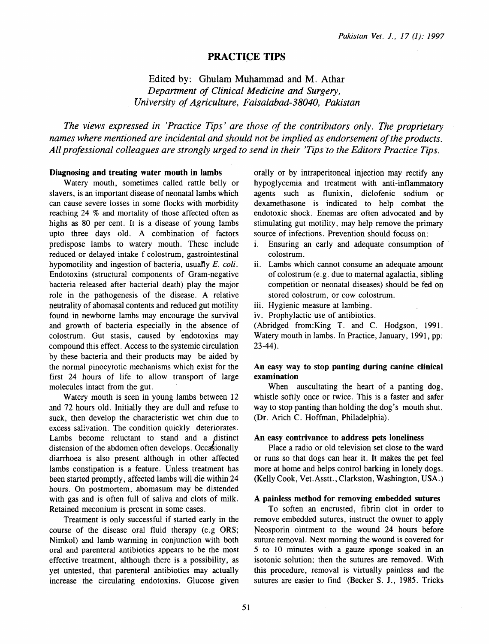# PRACTICE TIPS

# Edited by: Ghulam Muhammad and M. Athar *Department of Clinical Medicine and Surgery, University of Agriculture, Faisalabad-38040, Pakistan*

*The views expressed in 'Practice Tips' are those of the contributors only. The proprietary names where mentioned are incidental and should not be implied as endorsement of the products. All professional colleagues are strongly urged to send in their 'Tips to the Editors Practice Tips.* 

### Diagnosing and treating water mouth in lambs

Watery mouth, sometimes called rattle belly or slavers, is an important disease of neonatal lambs which can cause severe losses in some flocks with morbidity reaching 24 % and mortality of those affected often as highs as 80 per cent. It is a disease of young lambs upto three days old. A combination of factors predispose lambs to watery mouth. These include reduced or delayed intake f colostrum, gastrointestinal hypomotility and ingestion of bacteria, usually *E. coli.* Endotoxins (structural components of Gram-negative bacteria released after bacterial death) play the major role in the pathogenesis of the disease. A relative neutrality of abomasal contents and reduced gut motility found in newborne lambs may encourage the survival and growth of bacteria especially in the absence of colostrum. Gut stasis, caused by 'endotoxins may compound this effect. Access to the systemic circulation by these bacteria and their products may be aided by the normal pinocytotic mechanisms which exist for the first 24 hours of life to allow transport of large molecules intact from the gut.

Watery mouth is seen in young lambs between 12 and 72 hours old. Initially they are dull and refuse to suck, then develop the characteristic wet chin due to excess salivation. The condition quickly deteriorates. Lambs become reluctant to stand and a distinct distension of the abdomen often develops. Occasionally diarrhoea is also present although in other affected lambs constipation is a feature. Unless treatment has been started promptly, affected lambs will die within 24 hours. On postmortem, abomasum may be distended with gas and is often full of saliva and clots of milk. Retained meconium is present in some cases.

Treatment is only successful if started early in the course of the disease oral fluid therapy (e.g ORS; Nimkol) and lamb warming in conjunction with both oral and parenteral antibiotics appears to be the most effective treatment, although there is a possibility, as yet untested, that parenteral antibiotics may actually increase the circulating endotoxins. Glucose given

orally or by intraperitoneal injection may rectify any hypoglycemia and treatment with anti-inflammatory agents such as flunixin, diclofenic sodium or dexamethasone is indicated to help combat the endotoxic shock. Enemas are often advocated and by stimulating gut motility, may help remove the primary source of infections. Prevention should focuss on:

- i. Ensuring an early and adequate consumption of colostrum.
- ii. Lambs which cannot consume an adequate amount of colostrum (e.g. due to maternal agalactia, sibling competition or neonatal diseases) should be fed on stored colostrum, or cow colostrum.
- iii. Hygienic measure at lambing.
- iv. Prophylactic use of antibiotics.

(Abridged from:King T. and C. Hodgson, 1991. Watery mouth in lambs. In Practice, January, 1991, pp: 23-44).

### An easy way to stop panting during canine clinical examination

When auscultating the heart of a panting dog, whistle softly once or twice. This is a faster and safer way to stop panting than holding the dog's mouth shut. (Dr. Arich C. Hoffman, Philadelphia).

### An easy contrivance to address pets loneliness

Place a radio or old television set close to the ward or runs so that dogs can hear it. It makes the pet feel more at home and helps control barking in lonely dogs. (Kelly Cook, Vet.Asstt., Clarkston, Washington, USA.)

#### A painless method for removing embedded sutures

To soften an encrusted, fibrin clot in order to remove embedded sutures, instruct the owner to apply Neosporin ointment to the wound 24 hours before suture removal. Next morning the wound is covered for 5 to 10 minutes with a gauze sponge soaked in an isotonic solution; then the sutures are removed. With this procedure, removal is virtually painless and the sutures are easier to find (Becker S. J., 1985. Tricks